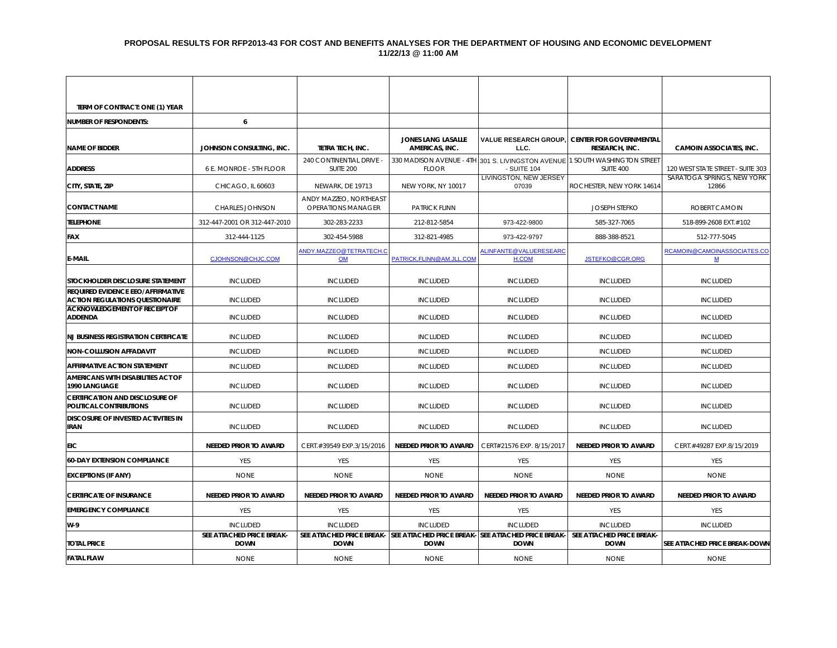### **PROPOSAL RESULTS FOR RFP2013-43 FOR COST AND BENEFITS ANALYSES FOR THE DEPARTMENT OF HOUSING AND ECONOMIC DEVELOPMENT 11/22/13 @ 11:00 AM**

| TERM OF CONTRACT: ONE (1) YEAR                                              |                                          |                                                     |                                                                    |                                      |                                                                                          |                                          |
|-----------------------------------------------------------------------------|------------------------------------------|-----------------------------------------------------|--------------------------------------------------------------------|--------------------------------------|------------------------------------------------------------------------------------------|------------------------------------------|
| <b>NUMBER OF RESPONDENTS:</b>                                               | 6                                        |                                                     |                                                                    |                                      |                                                                                          |                                          |
| <b>NAME OF BIDDER</b>                                                       | JOHNSON CONSULTING, INC.                 | TETRA TECH, INC.                                    | JONES LANG LASALLE<br>AMERICAS, INC.                               | <b>VALUE RESEARCH GROUP.</b><br>LLC. | <b>CENTER FOR GOVERNMENTAL</b><br>RESEARCH, INC.                                         | <b>CAMOIN ASSOCIATES, INC.</b>           |
| <b>ADDRESS</b>                                                              | 6 E. MONROE - 5TH FLOOR                  | 240 CONTINENTIAL DRIVE -<br>SUITE 200               | <b>FLOOR</b>                                                       | - SUITE 104                          | 330 MADISON AVENUE - 4TH 301 S. LIVINGSTON AVENUE 1 SOUTH WASHINGTON STREET<br>SUITE 400 | 120 WEST STATE STREET - SUITE 303        |
| CITY, STATE, ZIP                                                            | CHICAGO, IL 60603                        | NEWARK, DE 19713                                    | NEW YORK, NY 10017                                                 | LIVINGSTON, NEW JERSEY<br>07039      | ROCHESTER, NEW YORK 14614                                                                | SARATOGA SPRINGS, NEW YORK<br>12866      |
| <b>CONTACT NAME</b>                                                         | <b>CHARLES JOHNSON</b>                   | ANDY MAZZEO, NORTHEAST<br><b>OPERATIONS MANAGER</b> | <b>PATRICK FLINN</b>                                               |                                      | <b>JOSEPH STEFKO</b>                                                                     | ROBERT CAMOIN                            |
| <b>TELEPHONE</b>                                                            | 312-447-2001 OR 312-447-2010             | 302-283-2233                                        | 212-812-5854                                                       | 973-422-9800                         | 585-327-7065                                                                             | 518-899-2608 EXT.#102                    |
| <b>FAX</b>                                                                  | 312-444-1125                             | 302-454-5988                                        | 312-821-4985                                                       | 973-422-9797                         | 888-388-8521                                                                             | 512-777-5045                             |
| <b>E-MAIL</b>                                                               | CJOHNSON@CHJC.COM                        | ANDY.MAZZEO@TETRATECH.C<br>OM                       | PATRICK.FLINN@AM.JLL.COM                                           | ALINFANTE@VALUERESEARC<br>H.COM      | JSTEFKO@CGR.ORG                                                                          | RCAMOIN@CAMOINASSOCIATES.CO<br>${\bf M}$ |
| STOCKHOLDER DISCLOSURE STATEMENT                                            | <b>INCLUDED</b>                          | <b>INCLUDED</b>                                     | <b>INCLUDED</b>                                                    | <b>INCLUDED</b>                      | <b>INCLUDED</b>                                                                          | <b>INCLUDED</b>                          |
| REQUIRED EVIDENCE EEO/AFFIRMATIVE<br><b>ACTION REGULATIONS QUESTIONAIRE</b> | <b>INCLUDED</b>                          | <b>INCLUDED</b>                                     | <b>INCLUDED</b>                                                    | <b>INCLUDED</b>                      | <b>INCLUDED</b>                                                                          | <b>INCLUDED</b>                          |
| <b>ACKNOWLEDGEMENT OF RECEIPT OF</b><br><b>ADDENDA</b>                      | <b>INCLUDED</b>                          | <b>INCLUDED</b>                                     | <b>INCLUDED</b>                                                    | <b>INCLUDED</b>                      | <b>INCLUDED</b>                                                                          | <b>INCLUDED</b>                          |
| <b>NJ BUSINESS REGISTRATION CERTIFICATE</b>                                 | <b>INCLUDED</b>                          | <b>INCLUDED</b>                                     | <b>INCLUDED</b>                                                    | <b>INCLUDED</b>                      | <b>INCLUDED</b>                                                                          | <b>INCLUDED</b>                          |
| <b>NON-COLLUSION AFFADAVIT</b>                                              | <b>INCLUDED</b>                          | <b>INCLUDED</b>                                     | <b>INCLUDED</b>                                                    | <b>INCLUDED</b>                      | <b>INCLUDED</b>                                                                          | <b>INCLUDED</b>                          |
| <b>AFFIRMATIVE ACTION STATEMENT</b>                                         | <b>INCLUDED</b>                          | <b>INCLUDED</b>                                     | <b>INCLUDED</b>                                                    | <b>INCLUDED</b>                      | <b>INCLUDED</b>                                                                          | <b>INCLUDED</b>                          |
| AMERICANS WITH DISABILITIES ACT OF<br>1990 LANGUAGE                         | <b>INCLUDED</b>                          | <b>INCLUDED</b>                                     | <b>INCLUDED</b>                                                    | <b>INCLUDED</b>                      | <b>INCLUDED</b>                                                                          | <b>INCLUDED</b>                          |
| <b>CERTIFICATION AND DISCLOSURE OF</b><br>POLITICAL CONTRIBUTIONS           | <b>INCLUDED</b>                          | <b>INCLUDED</b>                                     | <b>INCLUDED</b>                                                    | <b>INCLUDED</b>                      | <b>INCLUDED</b>                                                                          | <b>INCLUDED</b>                          |
| DISCOSURE OF INVESTED ACTIVITIES IN<br><b>IRAN</b>                          | <b>INCLUDED</b>                          | <b>INCLUDED</b>                                     | <b>INCLUDED</b>                                                    | <b>INCLUDED</b>                      | <b>INCLUDED</b>                                                                          | <b>INCLUDED</b>                          |
| EIC                                                                         | <b>NEEDED PRIOR TO AWARD</b>             | CERT.#39549 EXP.3/15/2016                           | <b>NEEDED PRIOR TO AWARD</b>                                       | CERT#21576 EXP. 8/15/2017            | <b>NEEDED PRIOR TO AWARD</b>                                                             | CERT.#49287 EXP.8/15/2019                |
| <b>60-DAY EXTENSION COMPLIANCE</b>                                          | YES                                      | YES                                                 | <b>YES</b>                                                         | YES                                  | YES                                                                                      | YES                                      |
| <b>EXCEPTIONS (IF ANY)</b>                                                  | <b>NONE</b>                              | <b>NONE</b>                                         | <b>NONE</b>                                                        | <b>NONE</b>                          | <b>NONE</b>                                                                              | <b>NONE</b>                              |
| <b>CERTIFICATE OF INSURANCE</b>                                             | <b>NEEDED PRIOR TO AWARD</b>             | <b>NEEDED PRIOR TO AWARD</b>                        | <b>NEEDED PRIOR TO AWARD</b>                                       | <b>NEEDED PRIOR TO AWARD</b>         | <b>NEEDED PRIOR TO AWARD</b>                                                             | <b>NEEDED PRIOR TO AWARD</b>             |
| <b>EMERGENCY COMPLIANCE</b>                                                 | <b>YES</b>                               | YES                                                 | <b>YES</b>                                                         | YES                                  | YES                                                                                      | <b>YES</b>                               |
| W-9                                                                         | <b>INCLUDED</b>                          | <b>INCLUDED</b>                                     | <b>INCLUDED</b>                                                    | <b>INCLUDED</b>                      | <b>INCLUDED</b>                                                                          | <b>INCLUDED</b>                          |
| <b>TOTAL PRICE</b>                                                          | SEE ATTACHED PRICE BREAK-<br><b>DOWN</b> | SEE ATTACHED PRICE BREAK-<br><b>DOWN</b>            | SEE ATTACHED PRICE BREAK- SEE ATTACHED PRICE BREAK-<br><b>DOWN</b> | <b>DOWN</b>                          | SEE ATTACHED PRICE BREAK-<br><b>DOWN</b>                                                 | SEE ATTACHED PRICE BREAK-DOWN            |
| <b>FATAL FLAW</b>                                                           | <b>NONE</b>                              | <b>NONE</b>                                         | <b>NONE</b>                                                        | <b>NONE</b>                          | <b>NONE</b>                                                                              | <b>NONE</b>                              |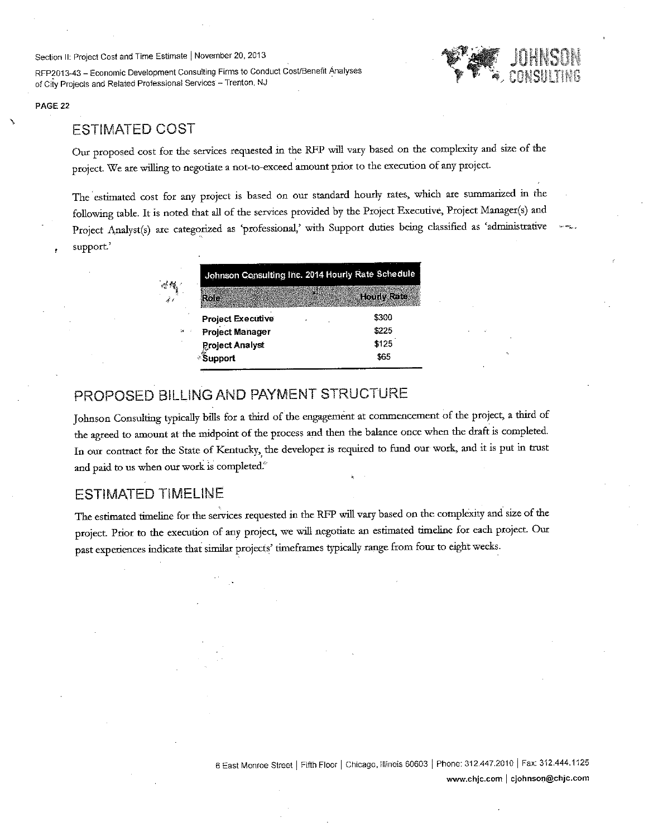Section II: Project Cost and Time Estimate | November 20, 2013

RFP2013-43 - Economic Development Consulting Firms to Conduct Cost/Benefit Analyses of City Projects and Related Professional Services - Trenton, NJ



## **ESTIMATED COST**

Our proposed cost for the services requested in the RFP will vary based on the complexity and size of the project. We are willing to negotiate a not-to-exceed amount prior to the execution of any project.

The estimated cost for any project is based on our standard hourly rates, which are summarized in the following table. It is noted that all of the services provided by the Project Executive, Project Manager(s) and Project Analyst(s) are categorized as 'professional,' with Support duties being classified as 'administrative support.

## PROPOSED BILLING AND PAYMENT STRUCTURE

Johnson Consulting typically bills for a third of the engagement at commencement of the project, a third of the agreed to amount at the midpoint of the process and then the balance once when the draft is completed. In our contract for the State of Kentucky, the developer is required to fund our work, and it is put in trust and paid to us when our work is completed.<sup>6</sup>

## **ESTIMATED TIMELINE**

The estimated timeline for the services requested in the RFP will vary based on the complexity and size of the project. Prior to the execution of any project, we will negotiate an estimated timeline for each project. Our past experiences indicate that similar projects' timeframes typically range from four to eight weeks.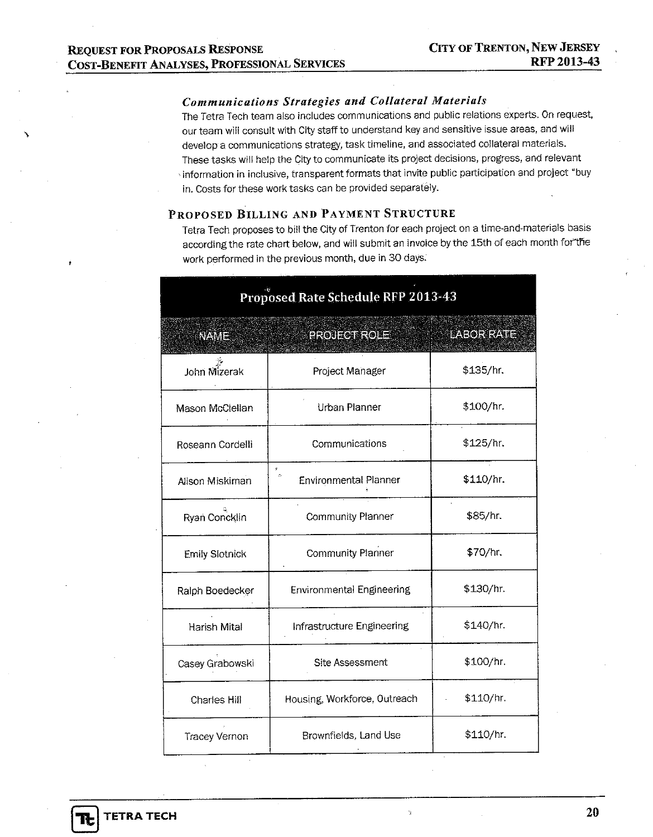## Communications Strategies and Collateral Materials

The Tetra Tech team also includes communications and public relations experts. On request, our team will consult with City staff to understand key and sensitive issue areas, and will develop a communications strategy, task timeline, and associated collateral materials. These tasks will help the City to communicate its project decisions, progress, and relevant information in inclusive, transparent formats that invite public participation and project "buy in. Costs for these work tasks can be provided separately.

## PROPOSED BILLING AND PAYMENT STRUCTURE

Tetra Tech proposes to bill the City of Trenton for each project on a time-and-materials basis according the rate chart below, and will submit an invoice by the 15th of each month for the work performed in the previous month, due in 30 days.

| Proposed Rate Schedule RFP 2013-43 |                                             |            |  |  |  |
|------------------------------------|---------------------------------------------|------------|--|--|--|
| NAME                               | <b>PROJECTIROLET</b>                        | LABOR RATE |  |  |  |
| John Mizerak                       | Project Manager                             | \$135/hr.  |  |  |  |
| Mason McClellan                    | Urban Planner                               | \$100/hr.  |  |  |  |
| Roseann Cordelli                   | Communications                              | \$125/hr.  |  |  |  |
| Alison Miskiman                    | ø<br>$\phi$<br><b>Environmental Planner</b> | \$110/hr.  |  |  |  |
| Ryan Concklin                      | <b>Community Planner</b>                    | \$85/hr.   |  |  |  |
| Emily Slotnick                     | <b>Community Planner</b>                    | \$70/hr.   |  |  |  |
| Ralph Boedecker                    | <b>Environmental Engineering</b>            | \$130/hr.  |  |  |  |
| Harish Mital                       | Infrastructure Engineering                  | \$140/hr.  |  |  |  |
| Casey Grabowski                    | Site Assessment                             | \$100/hr.  |  |  |  |
| Charles Hill                       | Housing, Workforce, Outreach                | \$110/hr   |  |  |  |
| <b>Tracey Vernon</b>               | Brownfields, Land Use                       | \$110/hr.  |  |  |  |

h.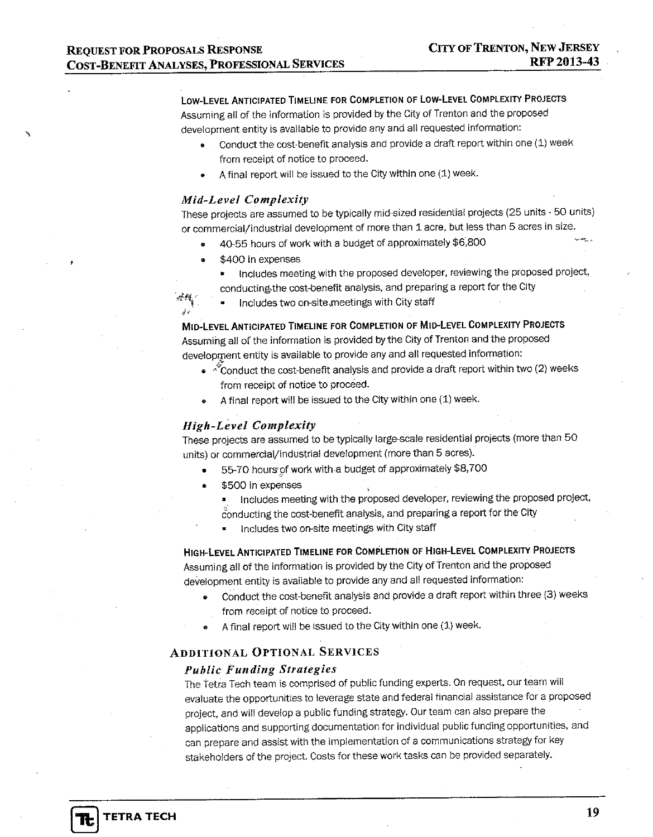## LOW-LEVEL ANTICIPATED TIMELINE FOR COMPLETION OF LOW-LEVEL COMPLEXITY PROJECTS

Assuming all of the information is provided by the City of Trenton and the proposed development entity is available to provide any and all requested information:

- Conduct the cost-benefit analysis and provide a draft report within one (1) week from receipt of notice to proceed.
- A final report will be issued to the City within one (1) week.

### **Mid-Level Complexity**

These projects are assumed to be typically mid-sized residential projects (25 units - 50 units) or commercial/industrial development of more than 1 acre, but less than 5 acres in size.

- 40-55 hours of work with a budget of approximately \$6,800
- \$400 in expenses
	- Includes meeting with the proposed developer, reviewing the proposed project, conducting the cost-benefit analysis, and preparing a report for the City

 $\sim 4$ Includes two on-site meetings with City staff

MID-LEVEL ANTICIPATED TIMELINE FOR COMPLETION OF MID-LEVEL COMPLEXITY PROJECTS Assuming all of the information is provided by the City of Trenton and the proposed development entity is available to provide any and all requested information:

- « Conduct the cost-benefit analysis and provide a draft report within two (2) weeks from receipt of notice to proceed.
- A final report will be issued to the City within one (1) week.

### **High-Level Complexity**

These projects are assumed to be typically large-scale residential projects (more than 50 units) or commercial/industrial development (more than 5 acres).

- 55-70 hours of work with a budget of approximately \$8,700
- \$500 in expenses
	- Includes meeting with the proposed developer, reviewing the proposed project, conducting the cost-benefit analysis, and preparing a report for the City
		- Includes two on-site meetings with City staff

HIGH-LEVEL ANTICIPATED TIMELINE FOR COMPLETION OF HIGH-LEVEL COMPLEXITY PROJECTS Assuming all of the information is provided by the City of Trenton and the proposed development entity is available to provide any and all requested information:

- Conduct the cost-benefit analysis and provide a draft report within three (3) weeks from receipt of notice to proceed.
- A final report will be issued to the City within one (1) week.

### **ADDITIONAL OPTIONAL SERVICES**

### **Public Funding Strategies**

The Tetra Tech team is comprised of public funding experts. On request, our team will evaluate the opportunities to leverage state and federal financial assistance for a proposed project, and will develop a public funding strategy. Our team can also prepare the applications and supporting documentation for individual public funding opportunities, and can prepare and assist with the implementation of a communications strategy for key stakeholders of the project. Costs for these work tasks can be provided separately.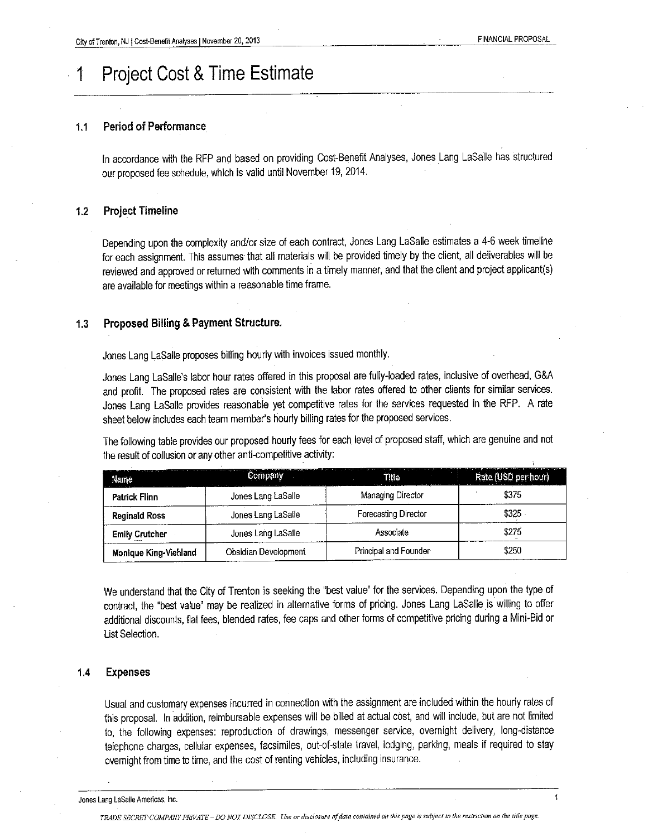$\overline{1}$ 

## **Project Cost & Time Estimate**

#### **Period of Performance**  $1.1$

In accordance with the RFP and based on providing Cost-Benefit Analyses, Jones Lang LaSalle has structured our proposed fee schedule, which is valid until November 19, 2014.

#### **Project Timeline**  $1.2$

Depending upon the complexity and/or size of each contract, Jones Lang LaSalle estimates a 4-6 week timeline for each assignment. This assumes that all materials will be provided timely by the client, all deliverables will be reviewed and approved or returned with comments in a timely manner, and that the client and project applicant(s) are available for meetings within a reasonable time frame.

#### **Proposed Billing & Payment Structure.**  $1.3$

Jones Lang LaSalle proposes billing hourly with invoices issued monthly.

Jones Lang LaSalle's labor hour rates offered in this proposal are fully-loaded rates, inclusive of overhead, G&A and profit. The proposed rates are consistent with the labor rates offered to other clients for similar services. Jones Lang LaSalle provides reasonable yet competitive rates for the services requested in the RFP. A rate sheet below includes each team member's hourly billing rates for the proposed services.

The following table provides our proposed hourly fees for each level of proposed staff, which are genuine and not the result of collusion or any other anti-competitive activity:

| Name                  | <b>Company</b>       | <u>. 1969년 1979년 1989년 1989년 1989년 1989년 1989년 1989년 1989년 1989년 1989년 1989년 1989년 1989년 1989년 1989년 1989</u><br>Title | 1000 State Model 이 모든 것 같은 이 제 3000 State Model 에 인 모든 모든 데 이 아이 지수는 없으니 데이터 전문에 떨어지지는 아이 있습니까? 200<br>Rate (USD per hour) |
|-----------------------|----------------------|------------------------------------------------------------------------------------------------------------------------|----------------------------------------------------------------------------------------------------------------------------|
| <b>Patrick Flinn</b>  | Jones Lang LaSalle   | Managing Director                                                                                                      | \$375                                                                                                                      |
| <b>Reginald Ross</b>  | Jones Lang LaSalle   | Forecasting Director                                                                                                   | \$325                                                                                                                      |
| <b>Emily Crutcher</b> | Jones Lang LaSalle   | Associate                                                                                                              | \$275                                                                                                                      |
| Monique King-Viehland | Obsidian Development | Principal and Founder                                                                                                  | \$250                                                                                                                      |

We understand that the City of Trenton is seeking the "best value" for the services. Depending upon the type of contract, the "best value" may be realized in alternative forms of pricing. Jones Lang LaSalle is willing to offer additional discounts, flat fees, blended rafes, fee caps and other forms of competitive pricing during a Mini-Bid or List Selection.

#### $1.4$ **Expenses**

Usual and customary expenses incurred in connection with the assignment are included within the hourly rates of this proposal. In addition, reimbursable expenses will be billed at actual cost, and will include, but are not limited to, the following expenses: reproduction of drawings, messenger service, overnight delivery, long-distance telephone charges, cellular expenses, facsimiles, out-of-state travel, lodging, parking, meals if required to stay overnight from time to time, and the cost of renting vehicles, including insurance.

Jones Lang LaSalle Americas, Inc.

TRADE SECRET COMPANY PRIVATE - DO NOT DISCLOSE. Use or disclosure of data contained on this page is subject to the restriction on the title page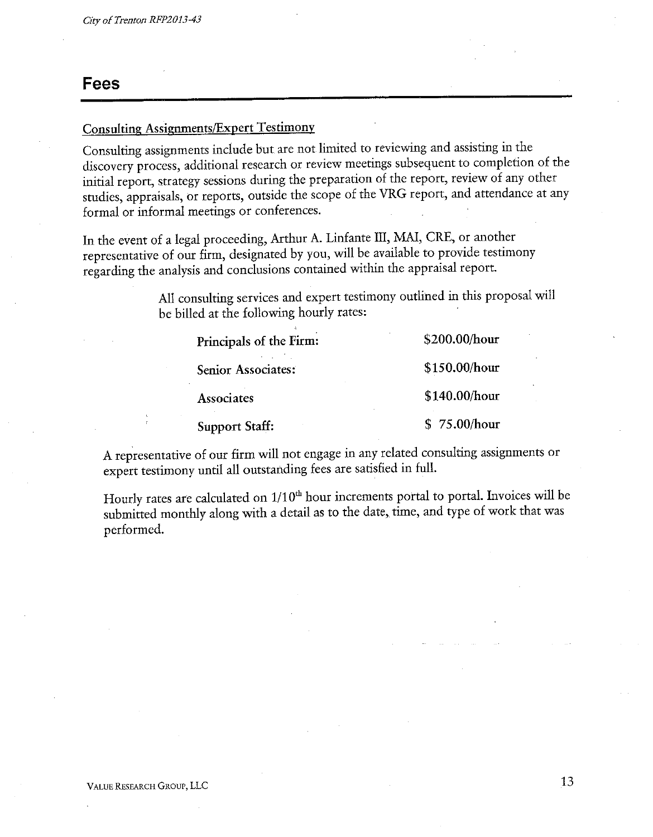## **Fees**

## **Consulting Assignments/Expert Testimony**

Consulting assignments include but are not limited to reviewing and assisting in the discovery process, additional research or review meetings subsequent to completion of the initial report, strategy sessions during the preparation of the report, review of any other studies, appraisals, or reports, outside the scope of the VRG report, and attendance at any formal or informal meetings or conferences.

In the event of a legal proceeding, Arthur A. Linfante III, MAI, CRE, or another representative of our firm, designated by you, will be available to provide testimony regarding the analysis and conclusions contained within the appraisal report.

> All consulting services and expert testimony outlined in this proposal will be billed at the following hourly rates:

| Principals of the Firm: | \$200.00/hour |
|-------------------------|---------------|
| Senior Associates:      | \$150.00/hour |
| Associates              | \$140.00/hour |
| <b>Support Staff:</b>   | \$75.00/hour  |

A representative of our firm will not engage in any related consulting assignments or expert testimony until all outstanding fees are satisfied in full.

Hourly rates are calculated on 1/10<sup>th</sup> hour increments portal to portal. Invoices will be submitted monthly along with a detail as to the date, time, and type of work that was performed.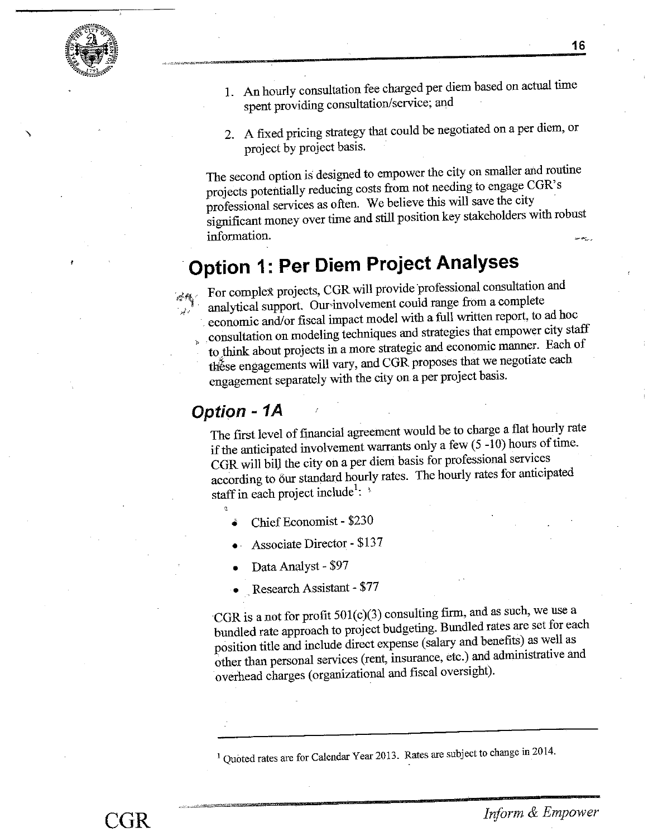

16

- 1. An hourly consultation fee charged per diem based on actual time spent providing consultation/service; and
- 2. A fixed pricing strategy that could be negotiated on a per diem, or project by project basis.

The second option is designed to empower the city on smaller and routine projects potentially reducing costs from not needing to engage CGR's professional services as often. We believe this will save the city significant money over time and still position key stakeholders with robust information.

# **Option 1: Per Diem Project Analyses**

For complex projects, CGR will provide professional consultation and analytical support. Our involvement could range from a complete economic and/or fiscal impact model with a full written report, to ad hoc consultation on modeling techniques and strategies that empower city staff to think about projects in a more strategic and economic manner. Each of these engagements will vary, and CGR proposes that we negotiate each engagement separately with the city on a per project basis.

## **Option - 1A**

The first level of financial agreement would be to charge a flat hourly rate if the anticipated involvement warrants only a few  $(5 -10)$  hours of time. CGR will bill the city on a per diem basis for professional services according to our standard hourly rates. The hourly rates for anticipated staff in each project include<sup>1</sup>:  $\sqrt[3]{ }$ 

- Chief Economist \$230
- **Associate Director \$137**
- Data Analyst \$97
- Research Assistant \$77

CGR is a not for profit 501(c)(3) consulting firm, and as such, we use a bundled rate approach to project budgeting. Bundled rates are set for each position title and include direct expense (salary and benefits) as well as other than personal services (rent, insurance, etc.) and administrative and overhead charges (organizational and fiscal oversight).

<sup>1</sup> Quoted rates are for Calendar Year 2013. Rates are subject to change in 2014.

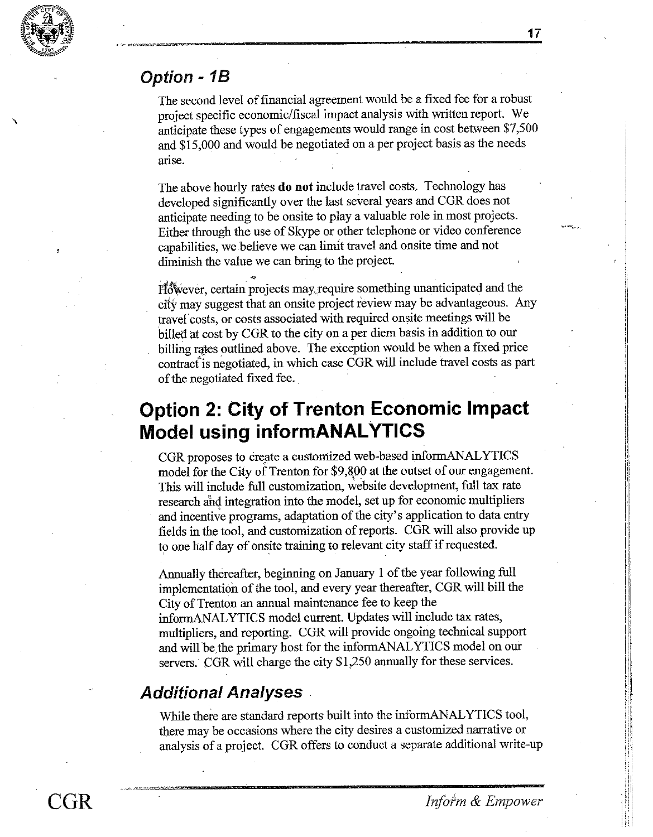

## Option - 1B

The second level of financial agreement would be a fixed fee for a robust project specific economic/fiscal impact analysis with written report. We anticipate these types of engagements would range in cost between \$7,500 and \$15,000 and would be negotiated on a per project basis as the needs arise.

The above hourly rates do not include travel costs. Technology has developed significantly over the last several years and CGR does not anticipate needing to be onsite to play a valuable role in most projects. Either through the use of Skype or other telephone or video conference capabilities, we believe we can limit travel and onsite time and not diminish the value we can bring to the project.

However, certain projects may require something unanticipated and the city may suggest that an onsite project review may be advantageous. Any travel costs, or costs associated with required onsite meetings will be billed at cost by CGR to the city on a per diem basis in addition to our billing rates outlined above. The exception would be when a fixed price contract is negotiated, in which case CGR will include travel costs as part of the negotiated fixed fee.

# **Option 2: City of Trenton Economic Impact Model using informANALYTICS**

CGR proposes to create a customized web-based informANALYTICS model for the City of Trenton for \$9,800 at the outset of our engagement. This will include full customization, website development, full tax rate research and integration into the model, set up for economic multipliers and incentive programs, adaptation of the city's application to data entry fields in the tool, and customization of reports. CGR will also provide up to one half day of onsite training to relevant city staff if requested.

Annually thereafter, beginning on January 1 of the year following full implementation of the tool, and every year thereafter, CGR will bill the City of Trenton an annual maintenance fee to keep the informANALYTICS model current. Updates will include tax rates, multipliers, and reporting. CGR will provide ongoing technical support and will be the primary host for the informANALYTICS model on our servers. CGR will charge the city \$1,250 annually for these services.

## **Additional Analyses**

While there are standard reports built into the informANALYTICS tool, there may be occasions where the city desires a customized narrative or analysis of a project. CGR offers to conduct a separate additional write-up